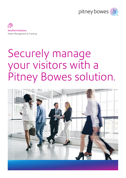



# Securely manage your visitors with a Pitney Bowes solution.

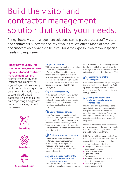# Build the visitor and contractor management solution that suits your needs.

Pitney Bowes visitor management solutions can help you protect staff, visitors and contractors & increase security at your site. We offer a range of products and subscription packages to help you build the right solution for your specific needs and requirements.

# Pitney Bowes LobbyTrac™ is a contactless, easy-to-use digital visitor and contractor management system.

Its intuitive, step-by-step instructions simplify the sign-in/sign-out process by capturing and storing all the pertinent information to a secure, cloud-based database. This enables realtime reporting and greatly enhances existing security processes.



**Traceability** 





### Simple and intuitive

With a user-friendly touchscreen monitor, LobbyTrac captures vital visitor information. Plus, the address book feature provides a predictive-like key stroke experience that allows visitors to check in without staff involvement. The device comes with everything you need for superior visitor and contractor management.

# (1) Increase traceability

In the current environment, it's key for businesses to be able to track visitors and contractors who have been onsite. LobbyTrac lets you create customised questions to collect key health information.

# (2) Contactless registration

LobbyTrac enables contactless sign-in. Visitors can pre-regiser online, complete a health and safety induction and then receive a barcode to access your site. This means staff members don't need to physically check in visitors or contractors when they arrive.

# (3) Customise your user-experience

Enhance your corporate image by customising the welcome screen of your LobbyTrac with graphics, messaging and more. In addition, the system lets you print brand labels for added security.

#### Easily manage facility entry  $\omega$ points and offer a smooth visitor experience.

Like a virtual assistant the self-serve interactive terminal can ensure better use of time and resources by allowing visitors to officially notify their arrival. Once they have registered, relevant staff will receive a notification of their arrival via email or SMS.

# The small footprint fits in any space.

With a sleek and modern design, LobbyTrac takes minimal space for installation. Set it up as an automatic, self-service office reception in your facility or to assist your lobby personnel.

## (6) Strengthen duty of care and enable precise control over facilities.

Ensuring that only authorised persons enter buildings or workplaces is vital to occupant safety and protection of organisational assets. LobbyTrac supports existing security controls to ensuring compliance with legal and procedural obligations.

In case of emergency a real-time report can be produced on the spot or remotely to inform facility managers of who is on site and how to contact them.

LobbyTrac provides a secure and safe way to manage visitors, contractors and staff, making it ideal for organisations like:

- Schools and daycare facilities
- Colleges and tertiary institutions
- Government agencies
- Correctional facilities
- Aged care homes
- Corporations
- Hospitals and healthcare facilities
- Real estate management
- Event management.
- Facility management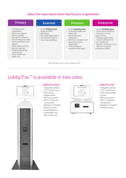# Select the subscription level that fits your organisation.



# LobbyTrac™ is available in two sizes.



# LobbyTrac Kiosk

- Integrated camera
- 12.3" touchscreen • Self-cutting
- badge printer • Barcode scanner
- Wi-Fi or Ethernet
- connectivity
- Windows 10 (64bit)
- Pivoting screen
- Inbuilt waste bin • Customised user logo on the unit



## LobbyTrac Flex

- Integrated camera
- 12.3" touchscreen
- Self-cutting badge
- printer • Barcode scanner
- Wi-Fi or Ethernet
- connectivity
- Windows 10 (64bit)
- Pivoting screen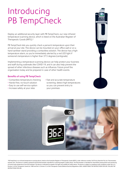# Introducing PB TempCheck

Deploy an additional security layer with PB TempCheck, our new infrared temperature scanning device, which is listed on the Australian Register of Therapeutic Goods (ARTG).\*

PB TempCheck lets you quickly check a person's temperature upon their arrival at your site. The device can be mounted on your office wall or on a hand sanitiser stand providing a contactless solution. The device has a hightemperature alarm, so you're immediately alerted by a red LED light if someone's temperature is higher than 37.5 degrees (centigrade).

Implementing a temperature scanning device can help protect your business and staff during outbreaks like COVID-19, and it can also help prevent the spread of other infectious diseases such as influenza. Future proof the organisation today and be prepared in case of other health events.

## Benefits of using PB TempCheck

- Contactless temperature checking
- Hands-free, no-touch solution
- Easy to use self-service option
- Increase safety at your sites
- Fast and accurate temperature screening: detect high temperatures so you can prevent entry to your premises





\*PB TempCheck is an infrared temperature scanning device, listed on the Australian Register of Therapeutic Goods (ARTG), under reference number 345754 by Stericlick Pty Ltd -Thermometer, infrared, skin. The device is a battery powered infrared thermometer intended for screening people in public places. The thermometer is intended for intermittent measurement and monitoring of human body temperature from the forehead. The device is indicated for people of all ages and suitable for public places. The device is subject to compliance with conditions under Part 4-5, Division 2 of the Therapeutic Goods Act 1989 and Part 5, Division 5.2 of the Therapeutic Goods (Medical Devices) Regulations 2002. ALWAYS READ THE INSTRUCTIONS FOR USE. FOLLOW THE INSTRUCTIONS FOR USE.